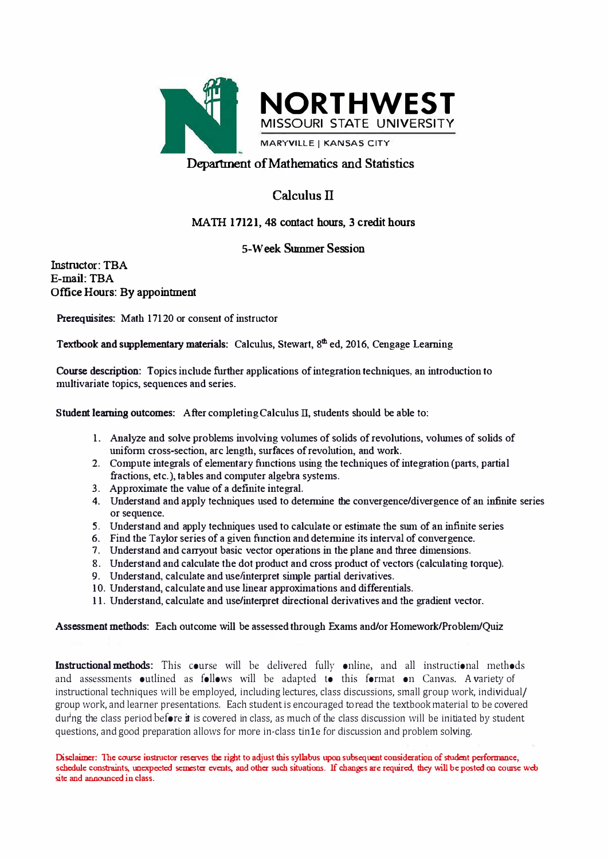

## **Calculus II**

## MATH 17121, 48 contact hours, 3 credit hours

## **5-Week Summer Session**

**Instructor: TBA E-mail: TBA Office Hours: By appointment**

**Prerequisites: Math 17120 or consent of instructor** 

Textbook and supplementary materials: Calculus, Stewart, 8<sup>th</sup> ed, 2016, Cengage Learning

**Comse description: Topics include further applications of integration techniques, an introduction to multivariate topics, sequences and series.** 

**Student learning outcomes: After completing Calculus II, students should be able to:** 

- **1. Analyze and solve problems involving volumes of solids of revolutions, volumes of solids of** uniform cross-section, arc length, surfaces of revolution, and work.
- **2. Compute integrals of elementary functions using the techniques of integration (paxts, partial fractions, etc.), tables and computer algebra systems.**
- **3. Approximate the value of a definite integral.**
- **4. Understand and apply techniques used to detennine the convergence/divergence of an infinite series or sequence.**
- 5. Understand and apply techniques used to calculate or estimate the sum of an infinite series
- **6. Find the Taylor series of a given function and detennjne its interval of convergence.**
- 7. **Understand and carryout basic vector operations in the plane and three dimensions.**
- **8. Understand and calculate the dot product and cross product of vectors (calculatjng torque).**
- **9. Understand, calculate and use/interpret simple partial derivatives.**
- **10. Understand, calculate and use linear approximations and differentials.**
- 11. Understand, calculate and use/interpret directional derivatives and the gradient vector.

## **Assessment methods: Each outcome will be assessed through Exams and/or Homework/Problem/Quiz**

**Instructional methods:** This course will be delivered fully online, and all instructional methods and assessments outlined as follows will be adapted to this format on Canvas. A variety of instructional techniques will be employed, including lectures, class discussions, small group work, individual/ group work, and learner presentations. Each student is encouraged to read the textbook material to be covered dur <sup>i</sup>ng the class period before *it* is covered in class, as much of the class discussion will be initiated by student questions, and good preparation allows for more in-class tin1e for discussion and problem solving.

**Disclaimer: 111c course instmctor rcsavcs the ri�t to adjust this syllabus upon subsequent consideration of student performance,**  schedule constraints, unexpected semester events, and other such situations. If changes are required, they will be posted on course web **site and announced in class.**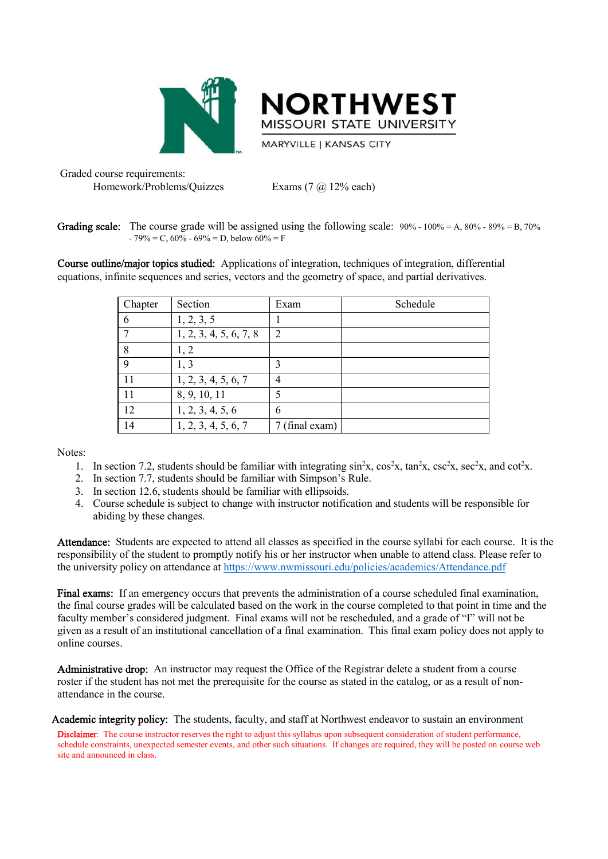



**MARYVILLE | KANSAS CITY** 

Graded course requirements: Homework/Problems/Quizzes Exams (7 @ 12% each)

**Grading scale:** The course grade will be assigned using the following scale:  $90\% - 100\% = A$ ,  $80\% - 89\% = B$ ,  $70\%$  $-79\%$  = C, 60%  $-69\%$  = D, below 60% = F

Course outline/major topics studied: Applications of integration, techniques of integration, differential equations, infinite sequences and series, vectors and the geometry of space, and partial derivatives.

| Chapter | Section                | Exam           | Schedule |
|---------|------------------------|----------------|----------|
| 6       | 1, 2, 3, 5             |                |          |
| 7       | 1, 2, 3, 4, 5, 6, 7, 8 | $\overline{2}$ |          |
| 8       | 1, 2                   |                |          |
| 9       | 1, 3                   | 3              |          |
| 11      | 1, 2, 3, 4, 5, 6, 7    | 4              |          |
| 11      | 8, 9, 10, 11           | 5              |          |
| 12      | 1, 2, 3, 4, 5, 6       | 6              |          |
| 14      | 1, 2, 3, 4, 5, 6, 7    | 7 (final exam) |          |

Notes:

- 1. In section 7.2, students should be familiar with integrating  $\sin^2 x$ ,  $\cos^2 x$ ,  $\tan^2 x$ ,  $\csc^2 x$ ,  $\sec^2 x$ , and  $\cot^2 x$ .
- 2. In section 7.7, students should be familiar with Simpson's Rule.
- 3. In section 12.6, students should be familiar with ellipsoids.
- 4. Course schedule is subject to change with instructor notification and students will be responsible for abiding by these changes.

Attendance: Students are expected to attend all classes as specified in the course syllabi for each course. It is the responsibility of the student to promptly notify his or her instructor when unable to attend class. Please refer to the university policy on attendance at https://www.nwmissouri.edu/policies/academics/Attendance.pdf

Final exams: If an emergency occurs that prevents the administration of a course scheduled final examination, the final course grades will be calculated based on the work in the course completed to that point in time and the faculty member's considered judgment. Final exams will not be rescheduled, and a grade of "I" will not be given as a result of an institutional cancellation of a final examination. This final exam policy does not apply to online courses.

Administrative drop: An instructor may request the Office of the Registrar delete a student from a course roster if the student has not met the prerequisite for the course as stated in the catalog, or as a result of nonattendance in the course.

Academic integrity policy: The students, faculty, and staff at Northwest endeavor to sustain an environment

Disclaimer: The course instructor reserves the right to adjust this syllabus upon subsequent consideration of student performance, schedule constraints, unexpected semester events, and other such situations. If changes are required, they will be posted on course web site and announced in class.